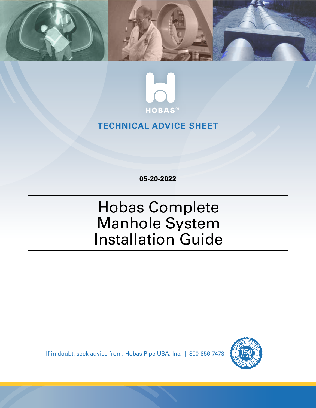



## **TECHNICAL ADVICE SHEET**

**05-20-2022**

# Hobas Complete Manhole System Installation Guide

If in doubt, seek advice from: Hobas Pipe USA, Inc. | 800-856-7473

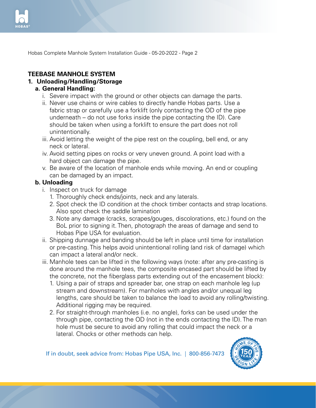

#### **TEEBASE MANHOLE SYSTEM**

#### **1. Unloading/Handling/Storage**

#### **a. General Handling:**

- i. Severe impact with the ground or other objects can damage the parts.
- ii. Never use chains or wire cables to directly handle Hobas parts. Use a fabric strap or carefully use a forklift (only contacting the OD of the pipe underneath – do not use forks inside the pipe contacting the ID). Care should be taken when using a forklift to ensure the part does not roll unintentionally.
- iii. Avoid letting the weight of the pipe rest on the coupling, bell end, or any neck or lateral.
- iv. Avoid setting pipes on rocks or very uneven ground. A point load with a hard object can damage the pipe.
- v. Be aware of the location of manhole ends while moving. An end or coupling can be damaged by an impact.

#### **b. Unloading**

- *i.* Inspect on truck for damage
	- 1. Thoroughly check ends/joints, neck and any laterals.
	- 2. Spot check the ID condition at the chock timber contacts and strap locations. Also spot check the saddle lamination
	- 3. Note any damage (cracks, scrapes/gouges, discolorations, etc.) found on the BoL prior to signing it. Then, photograph the areas of damage and send to Hobas Pipe USA for evaluation.
- ii. Shipping dunnage and banding should be left in place until time for installation or pre-casting. This helps avoid unintentional rolling (and risk of damage) which can impact a lateral and/or neck.
- iii. Manhole tees can be lifted in the following ways (note: after any pre-casting is done around the manhole tees, the composite encased part should be lifted by the concrete, not the fiberglass parts extending out of the encasement block):
	- 1. Using a pair of straps and spreader bar, one strap on each manhole leg (up stream and downstream). For manholes with angles and/or unequal leg lengths, care should be taken to balance the load to avoid any rolling/twisting. Additional rigging may be required.
	- 2. For straight-through manholes (i.e. no angle), forks can be used under the through pipe, contacting the OD (not in the ends contacting the ID). The man hole must be secure to avoid any rolling that could impact the neck or a lateral. Chocks or other methods can help.

If in doubt, seek advice from: Hobas Pipe USA, Inc. | 800-856-7473

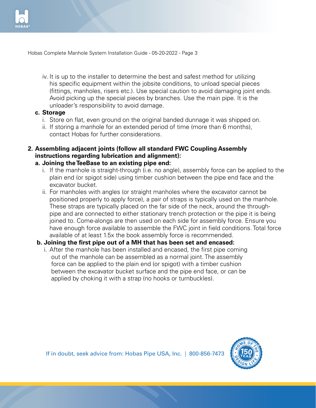

- iv. It is up to the installer to determine the best and safest method for utilizing his specific equipment within the jobsite conditions, to unload special pieces (fittings, manholes, risers etc.). Use special caution to avoid damaging joint ends. Avoid picking up the special pieces by branches. Use the main pipe. It is the unloader's responsibility to avoid damage.
- **c. Storage**
	- i. Store on flat, even ground on the original banded dunnage it was shipped on.
	- $ii.$  If storing a manhole for an extended period of time (more than 6 months), contact Hobas for further considerations.
- **2. Assembling adjacent joints (follow all standard FWC Coupling Assembly instructions regarding lubrication and alignment):**

#### **a. Joining the TeeBase to an existing pipe end:**

- i. If the manhole is straight-through (i.e. no angle), assembly force can be applied to the plain end (or spigot side) using timber cushion between the pipe end face and the excavator bucket.
- ii. For manholes with angles (or straight manholes where the excavator cannot be positioned properly to apply force), a pair of straps is typically used on the manhole. These straps are typically placed on the far side of the neck, around the through pipe and are connected to either stationary trench protection or the pipe it is being joined to. Come-alongs are then used on each side for assembly force. Ensure you have enough force available to assemble the FWC joint in field conditions. Total force available of at least 1.5x the book assembly force is recommended.

#### **b. Joining the first pipe out of a MH that has been set and encased:**

i. After the manhole has been installed and encased, the first pipe coming out of the manhole can be assembled as a normal joint. The assembly force can be applied to the plain end (or spigot) with a timber cushion between the excavator bucket surface and the pipe end face, or can be applied by choking it with a strap (no hooks or turnbuckles).

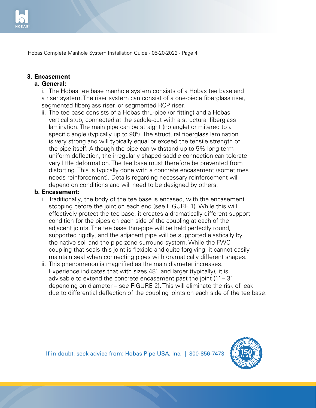

## **3. Encasement**

#### **a. General:**

i. The Hobas tee base manhole system consists of a Hobas tee base and a riser system. The riser system can consist of a one-piece fiberglass riser, segmented fiberglass riser, or segmented RCP riser.

ii. The tee base consists of a Hobas thru-pipe (or fitting) and a Hobas vertical stub, connected at the saddle-cut with a structural fiberglass lamination. The main pipe can be straight (no angle) or mitered to a specific angle (typically up to 90º). The structural fiberglass lamination is very strong and will typically equal or exceed the tensile strength of the pipe itself. Although the pipe can withstand up to 5% long-term uniform deflection, the irregularly shaped saddle connection can tolerate very little deformation. The tee base must therefore be prevented from distorting. This is typically done with a concrete encasement (sometimes needs reinforcement). Details regarding necessary reinforcement will depend on conditions and will need to be designed by others.

#### **b. Encasement:**

- i. Traditionally, the body of the tee base is encased, with the encasement stopping before the joint on each end (see FIGURE 1). While this will effectively protect the tee base, it creates a dramatically different support condition for the pipes on each side of the coupling at each of the adjacent joints. The tee base thru-pipe will be held perfectly round, supported rigidly, and the adjacent pipe will be supported elastically by the native soil and the pipe-zone surround system. While the FWC coupling that seals this joint is flexible and quite forgiving, it cannot easily maintain seal when connecting pipes with dramatically different shapes.
- ii. This phenomenon is magnified as the main diameter increases. Experience indicates that with sizes 48" and larger (typically), it is advisable to extend the concrete encasement past the joint  $(1' - 3)'$  depending on diameter – see FIGURE 2). This will eliminate the risk of leak due to differential deflection of the coupling joints on each side of the tee base.

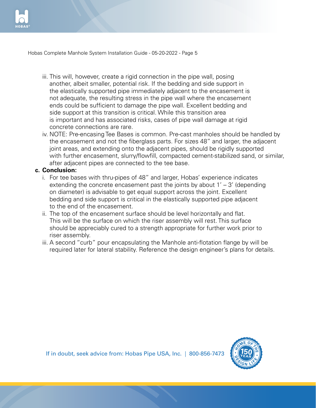

- iii. This will, however, create a rigid connection in the pipe wall, posing another, albeit smaller, potential risk. If the bedding and side support in the elastically supported pipe immediately adjacent to the encasement is not adequate, the resulting stress in the pipe wall where the encasement ends could be sufficient to damage the pipe wall. Excellent bedding and side support at this transition is critical. While this transition area is important and has associated risks, cases of pipe wall damage at rigid concrete connections are rare.
- iv. NOTE: Pre-encasing Tee Bases is common. Pre-cast manholes should be handled by the encasement and not the fiberglass parts. For sizes 48" and larger, the adjacent joint areas, and extending onto the adjacent pipes, should be rigidly supported with further encasement, slurry/flowfill, compacted cement-stabilized sand, or similar, after adjacent pipes are connected to the tee base.

#### **c. Conclusion:**

- i. For tee bases with thru-pipes of 48" and larger, Hobas' experience indicates extending the concrete encasement past the joints by about  $1' - 3'$  (depending on diameter) is advisable to get equal support across the joint. Excellent bedding and side support is critical in the elastically supported pipe adjacent to the end of the encasement.
- ii. The top of the encasement surface should be level horizontally and flat. This will be the surface on which the riser assembly will rest. This surface should be appreciably cured to a strength appropriate for further work prior to riser assembly.
- iii. A second "curb" pour encapsulating the Manhole anti-flotation flange by will be required later for lateral stability. Reference the design engineer's plans for details.

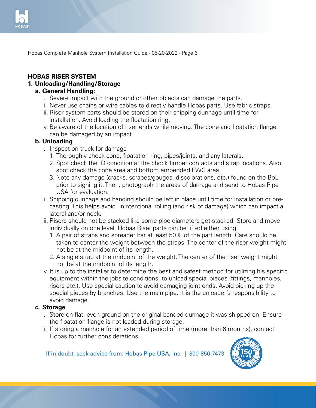

#### **HOBAS RISER SYSTEM 1. Unloading/Handling/Storage**

#### **a. General Handling:**

- i. Severe impact with the ground or other objects can damage the parts.
- ii. Never use chains or wire cables to directly handle Hobas parts. Use fabric straps.
- iii. Riser system parts should be stored on their shipping dunnage until time for installation. Avoid loading the floatation ring.
- iv. Be aware of the location of riser ends while moving. The cone and floatation flange can be damaged by an impact.

#### **b. Unloading**

- i. Inspect on truck for damage
	- 1. Thoroughly check cone, floatation ring, pipes/joints, and any laterals.
	- 2. Spot check the ID condition at the chock timber contacts and strap locations. Also spot check the cone area and bottom embedded FWC area.
	- 3. Note any damage (cracks, scrapes/gouges, discolorations, etc.) found on the BoL prior to signing it. Then, photograph the areas of damage and send to Hobas Pipe USA for evaluation.
- ii. Shipping dunnage and banding should be left in place until time for installation or pre casting. This helps avoid unintentional rolling (and risk of damage) which can impact a lateral and/or neck.
- iii. Risers should not be stacked like some pipe diameters get stacked. Store and move individually on one level. Hobas Riser parts can be lifted either using
	- 1. A pair of straps and spreader bar at least 50% of the part length. Care should be taken to center the weight between the straps. The center of the riser weight might not be at the midpoint of its length.
	- 2. A single strap at the midpoint of the weight. The center of the riser weight might not be at the midpoint of its length.
- iv. It is up to the installer to determine the best and safest method for utilizing his specific equipment within the jobsite conditions, to unload special pieces (fittings, manholes, risers etc.). Use special caution to avoid damaging joint ends. Avoid picking up the special pieces by branches. Use the main pipe. It is the unloader's responsibility to avoid damage.

#### **c. Storage**

- i. Store on flat, even ground on the original banded dunnage it was shipped on. Ensure the floatation flange is not loaded during storage.
- ii. If storing a manhole for an extended period of time (more than 6 months), contact Hobas for further considerations.

If in doubt, seek advice from: Hobas Pipe USA, Inc. | 800-856-7473

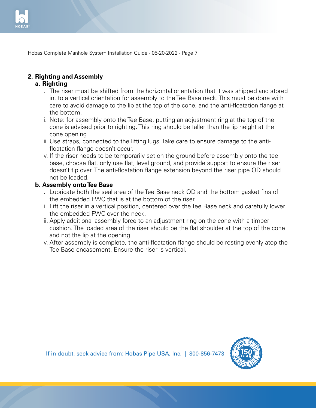

### **2. Righting and Assembly**

#### **a. Righting**

- i. The riser must be shifted from the horizontal orientation that it was shipped and stored in, to a vertical orientation for assembly to the Tee Base neck. This must be done with care to avoid damage to the lip at the top of the cone, and the anti-floatation flange at the bottom.
- ii. Note: for assembly onto the Tee Base, putting an adjustment ring at the top of the cone is advised prior to righting. This ring should be taller than the lip height at the cone opening.
- iii. Use straps, connected to the lifting lugs. Take care to ensure damage to the anti- floatation flange doesn't occur.
- iv. If the riser needs to be temporarily set on the ground before assembly onto the tee base, choose flat, only use flat, level ground, and provide support to ensure the riser doesn't tip over. The anti-floatation flange extension beyond the riser pipe OD should not be loaded.

#### **b. Assembly onto Tee Base**

- i. Lubricate both the seal area of the Tee Base neck OD and the bottom gasket fins of the embedded FWC that is at the bottom of the riser.
- ii. Lift the riser in a vertical position, centered over the Tee Base neck and carefully lower the embedded FWC over the neck.
- iii. Apply additional assembly force to an adjustment ring on the cone with a timber cushion. The loaded area of the riser should be the flat shoulder at the top of the cone and not the lip at the opening.
- iv. After assembly is complete, the anti-floatation flange should be resting evenly atop the Tee Base encasement. Ensure the riser is vertical.